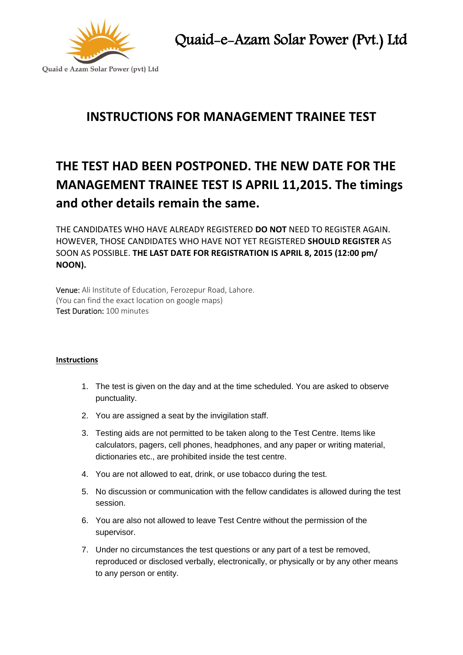

Quaid-e-Azam Solar Power (Pvt.) Ltd

# **INSTRUCTIONS FOR MANAGEMENT TRAINEE TEST**

# **THE TEST HAD BEEN POSTPONED. THE NEW DATE FOR THE MANAGEMENT TRAINEE TEST IS APRIL 11,2015. The timings and other details remain the same.**

THE CANDIDATES WHO HAVE ALREADY REGISTERED **DO NOT** NEED TO REGISTER AGAIN. HOWEVER, THOSE CANDIDATES WHO HAVE NOT YET REGISTERED **SHOULD REGISTER** AS SOON AS POSSIBLE. **THE LAST DATE FOR REGISTRATION IS APRIL 8, 2015 (12:00 pm/ NOON).**

Venue: Ali Institute of Education, Ferozepur Road, Lahore. (You can find the exact location on google maps) Test Duration: 100 minutes

# **Instructions**

- 1. The test is given on the day and at the time scheduled. You are asked to observe punctuality.
- 2. You are assigned a seat by the invigilation staff.
- 3. Testing aids are not permitted to be taken along to the Test Centre. Items like calculators, pagers, cell phones, headphones, and any paper or writing material, dictionaries etc., are prohibited inside the test centre.
- 4. You are not allowed to eat, drink, or use tobacco during the test.
- 5. No discussion or communication with the fellow candidates is allowed during the test session.
- 6. You are also not allowed to leave Test Centre without the permission of the supervisor.
- 7. Under no circumstances the test questions or any part of a test be removed, reproduced or disclosed verbally, electronically, or physically or by any other means to any person or entity.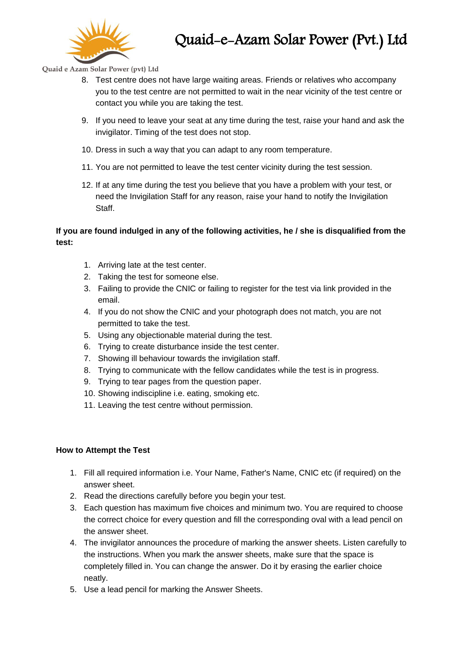

# Quaid e Azam Solar Power (pvt) Ltd

- 8. Test centre does not have large waiting areas. Friends or relatives who accompany you to the test centre are not permitted to wait in the near vicinity of the test centre or contact you while you are taking the test.
- 9. If you need to leave your seat at any time during the test, raise your hand and ask the invigilator. Timing of the test does not stop.
- 10. Dress in such a way that you can adapt to any room temperature.
- 11. You are not permitted to leave the test center vicinity during the test session.
- 12. If at any time during the test you believe that you have a problem with your test, or need the Invigilation Staff for any reason, raise your hand to notify the Invigilation Staff.

# **If you are found indulged in any of the following activities, he / she is disqualified from the test:**

- 1. Arriving late at the test center.
- 2. Taking the test for someone else.
- 3. Failing to provide the CNIC or failing to register for the test via link provided in the email.
- 4. If you do not show the CNIC and your photograph does not match, you are not permitted to take the test.
- 5. Using any objectionable material during the test.
- 6. Trying to create disturbance inside the test center.
- 7. Showing ill behaviour towards the invigilation staff.
- 8. Trying to communicate with the fellow candidates while the test is in progress.
- 9. Trying to tear pages from the question paper.
- 10. Showing indiscipline i.e. eating, smoking etc.
- 11. Leaving the test centre without permission.

# **How to Attempt the Test**

- 1. Fill all required information i.e. Your Name, Father's Name, CNIC etc (if required) on the answer sheet.
- 2. Read the directions carefully before you begin your test.
- 3. Each question has maximum five choices and minimum two. You are required to choose the correct choice for every question and fill the corresponding oval with a lead pencil on the answer sheet.
- 4. The invigilator announces the procedure of marking the answer sheets. Listen carefully to the instructions. When you mark the answer sheets, make sure that the space is completely filled in. You can change the answer. Do it by erasing the earlier choice neatly.
- 5. Use a lead pencil for marking the Answer Sheets.